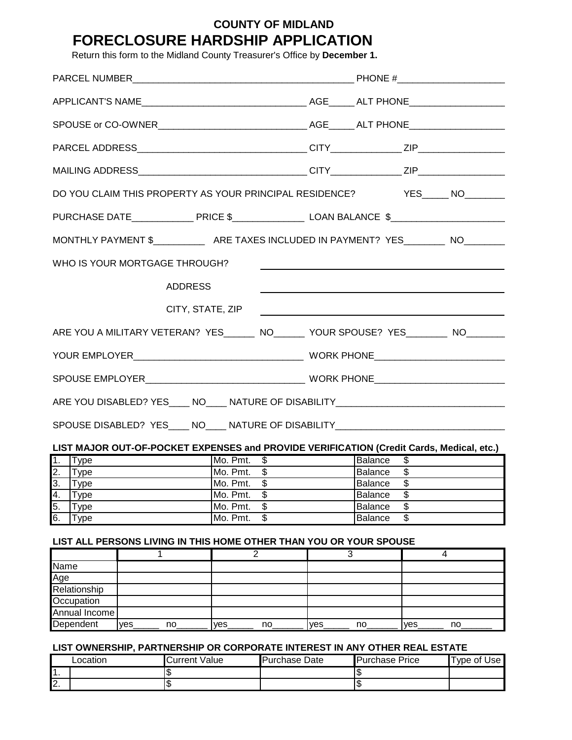# **COUNTY OF MIDLAND FORECLOSURE HARDSHIP APPLICATION**

Return this form to the Midland County Treasurer's Office by **December 1.**

| DO YOU CLAIM THIS PROPERTY AS YOUR PRINCIPAL RESIDENCE? YES____ NO______                       |  |                      |             |                      |                                     |                          |                 |             |
|------------------------------------------------------------------------------------------------|--|----------------------|-------------|----------------------|-------------------------------------|--------------------------|-----------------|-------------|
|                                                                                                |  |                      |             |                      |                                     |                          |                 |             |
| MONTHLY PAYMENT \$ _________________ ARE TAXES INCLUDED IN PAYMENT? YES __________ NO_________ |  |                      |             |                      |                                     |                          |                 |             |
| WHO IS YOUR MORTGAGE THROUGH?                                                                  |  |                      |             |                      |                                     |                          |                 |             |
|                                                                                                |  | <b>ADDRESS</b>       |             |                      |                                     |                          |                 |             |
|                                                                                                |  | CITY, STATE, ZIP     |             |                      |                                     |                          |                 |             |
| ARE YOU A MILITARY VETERAN? YES_______ NO_______ YOUR SPOUSE? YES________ NO________           |  |                      |             |                      |                                     |                          |                 |             |
|                                                                                                |  |                      |             |                      |                                     |                          |                 |             |
|                                                                                                |  |                      |             |                      |                                     |                          |                 |             |
|                                                                                                |  |                      |             |                      |                                     |                          |                 |             |
| SPOUSE DISABLED? YES____ NO____ NATURE OF DISABILITY____________________________               |  |                      |             |                      |                                     |                          |                 |             |
| LIST MAJOR OUT-OF-POCKET EXPENSES and PROVIDE VERIFICATION (Credit Cards, Medical, etc.)       |  |                      |             |                      |                                     |                          |                 |             |
| 1.<br>Type                                                                                     |  |                      | Mo. Pmt. \$ |                      |                                     | Balance                  | $\overline{\$}$ |             |
| 2.<br>Type                                                                                     |  |                      |             | Mo. Pmt. \$          |                                     | $\frac{1}{2}$<br>Balance |                 |             |
| 3.<br><b>Type</b>                                                                              |  |                      | Mo. Pmt. \$ |                      | $\overline{\mathcal{S}}$<br>Balance |                          |                 |             |
| Type                                                                                           |  | Mo. Pmt.<br>\$       |             |                      | \$<br><b>Balance</b>                |                          |                 |             |
| $\frac{4}{5}$<br>Type                                                                          |  | \$<br>Mo. Pmt.       |             |                      | \$<br><b>Balance</b>                |                          |                 |             |
| 6.<br>Type                                                                                     |  | Mo. Pmt.             | \$          |                      | $\overline{\$}$<br><b>Balance</b>   |                          |                 |             |
| LIST ALL PERSONS LIVING IN THIS HOME OTHER THAN YOU OR YOUR SPOUSE                             |  |                      |             |                      |                                     |                          |                 |             |
|                                                                                                |  |                      | 2           |                      | 3                                   |                          |                 | 4           |
| Name                                                                                           |  |                      |             |                      |                                     |                          |                 |             |
| Age                                                                                            |  |                      |             |                      |                                     |                          |                 |             |
| Relationship                                                                                   |  |                      |             |                      |                                     |                          |                 |             |
| Occupation                                                                                     |  |                      |             |                      |                                     |                          |                 |             |
|                                                                                                |  |                      |             |                      |                                     |                          |                 |             |
| Annual Income<br>yes<br>no                                                                     |  | yes                  | no          | yes                  | no                                  | yes                      | no              |             |
| LIST OWNERSHIP, PARTNERSHIP OR CORPORATE INTEREST IN ANY OTHER REAL ESTATE                     |  |                      |             |                      |                                     |                          |                 |             |
| Location                                                                                       |  | <b>Current Value</b> |             | <b>Purchase Date</b> |                                     | <b>Purchase Price</b>    |                 | Type of Use |
| $\overline{1}$ .                                                                               |  | \$                   |             |                      |                                     | ₩                        |                 |             |

2.  $\vert$  \$ \$